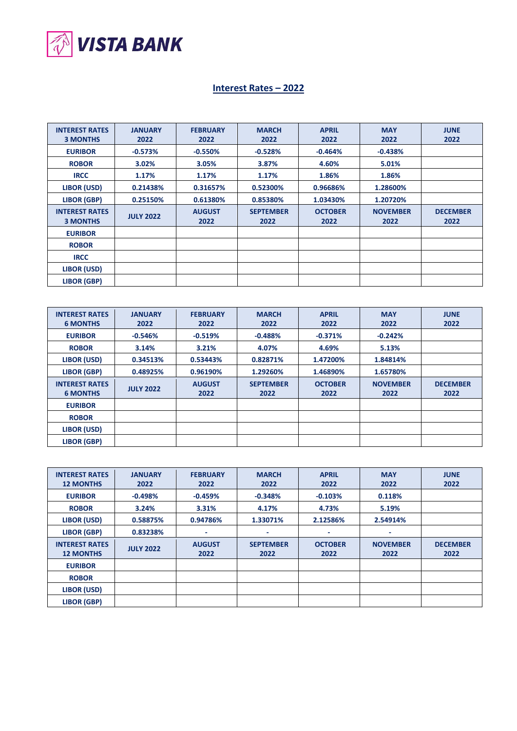

## **Interest Rates – 2022**

| <b>INTEREST RATES</b><br><b>3 MONTHS</b> | <b>JANUARY</b><br>2022 | <b>FEBRUARY</b><br>2022 | <b>MARCH</b><br>2022     | <b>APRIL</b><br>2022   | <b>MAY</b><br>2022      | <b>JUNE</b><br>2022     |
|------------------------------------------|------------------------|-------------------------|--------------------------|------------------------|-------------------------|-------------------------|
| <b>EURIBOR</b>                           | $-0.573%$              | $-0.550%$               | $-0.528%$                | $-0.464%$              | $-0.438%$               |                         |
| <b>ROBOR</b>                             | 3.02%                  | 3.05%                   | 3.87%                    | 4.60%                  | 5.01%                   |                         |
| <b>IRCC</b>                              | 1.17%                  | 1.17%                   | 1.17%                    | 1.86%                  | 1.86%                   |                         |
| LIBOR (USD)                              | 0.21438%               | 0.31657%                | 0.52300%                 | 0.96686%               | 1.28600%                |                         |
| <b>LIBOR (GBP)</b>                       | 0.25150%               | 0.61380%                | 0.85380%                 | 1.03430%               | 1.20720%                |                         |
| <b>INTEREST RATES</b><br><b>3 MONTHS</b> | <b>JULY 2022</b>       | <b>AUGUST</b><br>2022   | <b>SEPTEMBER</b><br>2022 | <b>OCTOBER</b><br>2022 | <b>NOVEMBER</b><br>2022 | <b>DECEMBER</b><br>2022 |
| <b>EURIBOR</b>                           |                        |                         |                          |                        |                         |                         |
| <b>ROBOR</b>                             |                        |                         |                          |                        |                         |                         |
| <b>IRCC</b>                              |                        |                         |                          |                        |                         |                         |
| LIBOR (USD)                              |                        |                         |                          |                        |                         |                         |
| LIBOR (GBP)                              |                        |                         |                          |                        |                         |                         |

| <b>INTEREST RATES</b><br><b>6 MONTHS</b> | <b>JANUARY</b><br>2022 | <b>FEBRUARY</b><br>2022 | <b>MARCH</b><br>2022     | <b>APRIL</b><br>2022   | <b>MAY</b><br>2022      | <b>JUNE</b><br>2022     |
|------------------------------------------|------------------------|-------------------------|--------------------------|------------------------|-------------------------|-------------------------|
| <b>EURIBOR</b>                           | $-0.546%$              | $-0.519%$               | $-0.488%$                | $-0.371%$              | $-0.242%$               |                         |
| <b>ROBOR</b>                             | 3.14%                  | 3.21%                   | 4.07%                    | 4.69%                  | 5.13%                   |                         |
| LIBOR (USD)                              | 0.34513%               | 0.53443%                | 0.82871%                 | 1.47200%               | 1.84814%                |                         |
| <b>LIBOR (GBP)</b>                       | 0.48925%               | 0.96190%                | 1.29260%                 | 1.46890%               | 1.65780%                |                         |
| <b>INTEREST RATES</b><br><b>6 MONTHS</b> | <b>JULY 2022</b>       | <b>AUGUST</b><br>2022   | <b>SEPTEMBER</b><br>2022 | <b>OCTOBER</b><br>2022 | <b>NOVEMBER</b><br>2022 | <b>DECEMBER</b><br>2022 |
| <b>EURIBOR</b>                           |                        |                         |                          |                        |                         |                         |
| <b>ROBOR</b>                             |                        |                         |                          |                        |                         |                         |
| LIBOR (USD)                              |                        |                         |                          |                        |                         |                         |
| <b>LIBOR (GBP)</b>                       |                        |                         |                          |                        |                         |                         |

| <b>INTEREST RATES</b><br><b>12 MONTHS</b> | <b>JANUARY</b><br>2022 | <b>FEBRUARY</b><br>2022 | <b>MARCH</b><br>2022     | <b>APRIL</b><br>2022   | <b>MAY</b><br>2022      | <b>JUNE</b><br>2022     |
|-------------------------------------------|------------------------|-------------------------|--------------------------|------------------------|-------------------------|-------------------------|
| <b>EURIBOR</b>                            | $-0.498%$              | $-0.459%$               | $-0.348%$                | $-0.103%$              | 0.118%                  |                         |
| <b>ROBOR</b>                              | 3.24%                  | 3.31%                   | 4.17%                    | 4.73%                  | 5.19%                   |                         |
| LIBOR (USD)                               | 0.58875%               | 0.94786%                | 1.33071%                 | 2.12586%               | 2.54914%                |                         |
| <b>LIBOR (GBP)</b>                        | 0.83238%               | ۰                       |                          | ٠                      |                         |                         |
| <b>INTEREST RATES</b><br><b>12 MONTHS</b> | <b>JULY 2022</b>       | <b>AUGUST</b><br>2022   | <b>SEPTEMBER</b><br>2022 | <b>OCTOBER</b><br>2022 | <b>NOVEMBER</b><br>2022 | <b>DECEMBER</b><br>2022 |
| <b>EURIBOR</b>                            |                        |                         |                          |                        |                         |                         |
| <b>ROBOR</b>                              |                        |                         |                          |                        |                         |                         |
| LIBOR (USD)                               |                        |                         |                          |                        |                         |                         |
| LIBOR (GBP)                               |                        |                         |                          |                        |                         |                         |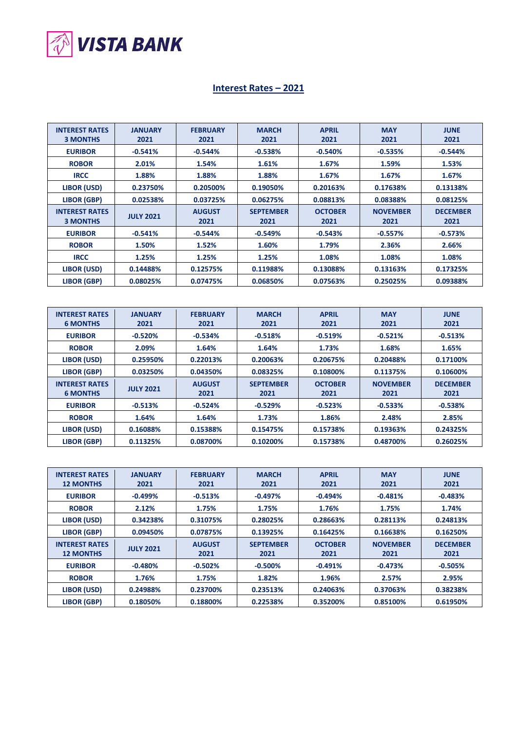

## **Interest Rates – 2021**

| <b>INTEREST RATES</b><br><b>3 MONTHS</b> | <b>JANUARY</b><br>2021 | <b>FEBRUARY</b><br>2021 | <b>MARCH</b><br>2021     | <b>APRIL</b><br>2021   | <b>MAY</b><br>2021      | <b>JUNE</b><br>2021     |
|------------------------------------------|------------------------|-------------------------|--------------------------|------------------------|-------------------------|-------------------------|
| <b>EURIBOR</b>                           | $-0.541%$              | $-0.544%$               | $-0.538%$                | $-0.540%$              | $-0.535%$               | $-0.544%$               |
| <b>ROBOR</b>                             | 2.01%                  | 1.54%                   | 1.61%                    | 1.67%                  | 1.59%                   | 1.53%                   |
| <b>IRCC</b>                              | 1.88%                  | 1.88%                   | 1.88%                    | 1.67%                  | 1.67%                   | 1.67%                   |
| LIBOR (USD)                              | 0.23750%               | 0.20500%                | 0.19050%                 | 0.20163%               | 0.17638%                | 0.13138%                |
| <b>LIBOR (GBP)</b>                       | 0.02538%               | 0.03725%                | 0.06275%                 | 0.08813%               | 0.08388%                | 0.08125%                |
| <b>INTEREST RATES</b><br><b>3 MONTHS</b> | <b>JULY 2021</b>       | <b>AUGUST</b><br>2021   | <b>SEPTEMBER</b><br>2021 | <b>OCTOBER</b><br>2021 | <b>NOVEMBER</b><br>2021 | <b>DECEMBER</b><br>2021 |
| <b>EURIBOR</b>                           | $-0.541%$              | $-0.544%$               | $-0.549%$                | $-0.543%$              | $-0.557%$               | $-0.573%$               |
| <b>ROBOR</b>                             | 1.50%                  | 1.52%                   | 1.60%                    | 1.79%                  | 2.36%                   | 2.66%                   |
| <b>IRCC</b>                              | 1.25%                  | 1.25%                   | 1.25%                    | 1.08%                  | 1.08%                   | 1.08%                   |
| LIBOR (USD)                              | 0.14488%               | 0.12575%                | 0.11988%                 | 0.13088%               | 0.13163%                | 0.17325%                |
| LIBOR (GBP)                              | 0.08025%               | 0.07475%                | 0.06850%                 | 0.07563%               | 0.25025%                | 0.09388%                |

| <b>INTEREST RATES</b><br><b>6 MONTHS</b> | <b>JANUARY</b><br>2021 | <b>FEBRUARY</b><br>2021 | <b>MARCH</b><br>2021     | <b>APRIL</b><br>2021   | <b>MAY</b><br>2021      | <b>JUNE</b><br>2021     |
|------------------------------------------|------------------------|-------------------------|--------------------------|------------------------|-------------------------|-------------------------|
| <b>EURIBOR</b>                           | $-0.520%$              | $-0.534%$               | $-0.518%$                | $-0.519%$              | $-0.521%$               | $-0.513%$               |
| <b>ROBOR</b>                             | 2.09%                  | 1.64%                   | 1.64%                    | 1.73%                  | 1.68%                   | 1.65%                   |
| LIBOR (USD)                              | 0.25950%               | 0.22013%                | 0.20063%                 | 0.20675%               | 0.20488%                | 0.17100%                |
| LIBOR (GBP)                              | 0.03250%               | 0.04350%                | 0.08325%                 | 0.10800%               | 0.11375%                | 0.10600%                |
| <b>INTEREST RATES</b><br><b>6 MONTHS</b> | <b>JULY 2021</b>       | <b>AUGUST</b><br>2021   | <b>SEPTEMBER</b><br>2021 | <b>OCTOBER</b><br>2021 | <b>NOVEMBER</b><br>2021 | <b>DECEMBER</b><br>2021 |
| <b>EURIBOR</b>                           | $-0.513%$              | $-0.524%$               | $-0.529%$                | $-0.523%$              | $-0.533%$               | $-0.538%$               |
| <b>ROBOR</b>                             | 1.64%                  | 1.64%                   | 1.73%                    | 1.86%                  | 2.48%                   | 2.85%                   |
| LIBOR (USD)                              | 0.16088%               | 0.15388%                | 0.15475%                 | 0.15738%               | 0.19363%                | 0.24325%                |
| LIBOR (GBP)                              | 0.11325%               | 0.08700%                | 0.10200%                 | 0.15738%               | 0.48700%                | 0.26025%                |

| <b>INTEREST RATES</b><br><b>12 MONTHS</b> | <b>JANUARY</b><br>2021 | <b>FEBRUARY</b><br>2021 | <b>MARCH</b><br>2021     | <b>APRIL</b><br>2021   | <b>MAY</b><br>2021      | <b>JUNE</b><br>2021     |
|-------------------------------------------|------------------------|-------------------------|--------------------------|------------------------|-------------------------|-------------------------|
| <b>EURIBOR</b>                            | $-0.499%$              | $-0.513%$               | $-0.497%$                | $-0.494%$              | $-0.481%$               | $-0.483%$               |
| <b>ROBOR</b>                              | 2.12%                  | 1.75%                   | 1.75%                    | 1.76%                  | 1.75%                   | 1.74%                   |
| LIBOR (USD)                               | 0.34238%               | 0.31075%                | 0.28025%                 | 0.28663%               | 0.28113%                | 0.24813%                |
| LIBOR (GBP)                               | 0.09450%               | 0.07875%                | 0.13925%                 | 0.16425%               | 0.16638%                | 0.16250%                |
| <b>INTEREST RATES</b><br><b>12 MONTHS</b> | <b>JULY 2021</b>       | <b>AUGUST</b><br>2021   | <b>SEPTEMBER</b><br>2021 | <b>OCTOBER</b><br>2021 | <b>NOVEMBER</b><br>2021 | <b>DECEMBER</b><br>2021 |
| <b>EURIBOR</b>                            | $-0.480%$              | $-0.502%$               | $-0.500%$                | $-0.491%$              | $-0.473%$               | $-0.505%$               |
| <b>ROBOR</b>                              | 1.76%                  | 1.75%                   | 1.82%                    | 1.96%                  | 2.57%                   | 2.95%                   |
| LIBOR (USD)                               | 0.24988%               | 0.23700%                | 0.23513%                 | 0.24063%               | 0.37063%                | 0.38238%                |
| LIBOR (GBP)                               | 0.18050%               | 0.18800%                | 0.22538%                 | 0.35200%               | 0.85100%                | 0.61950%                |